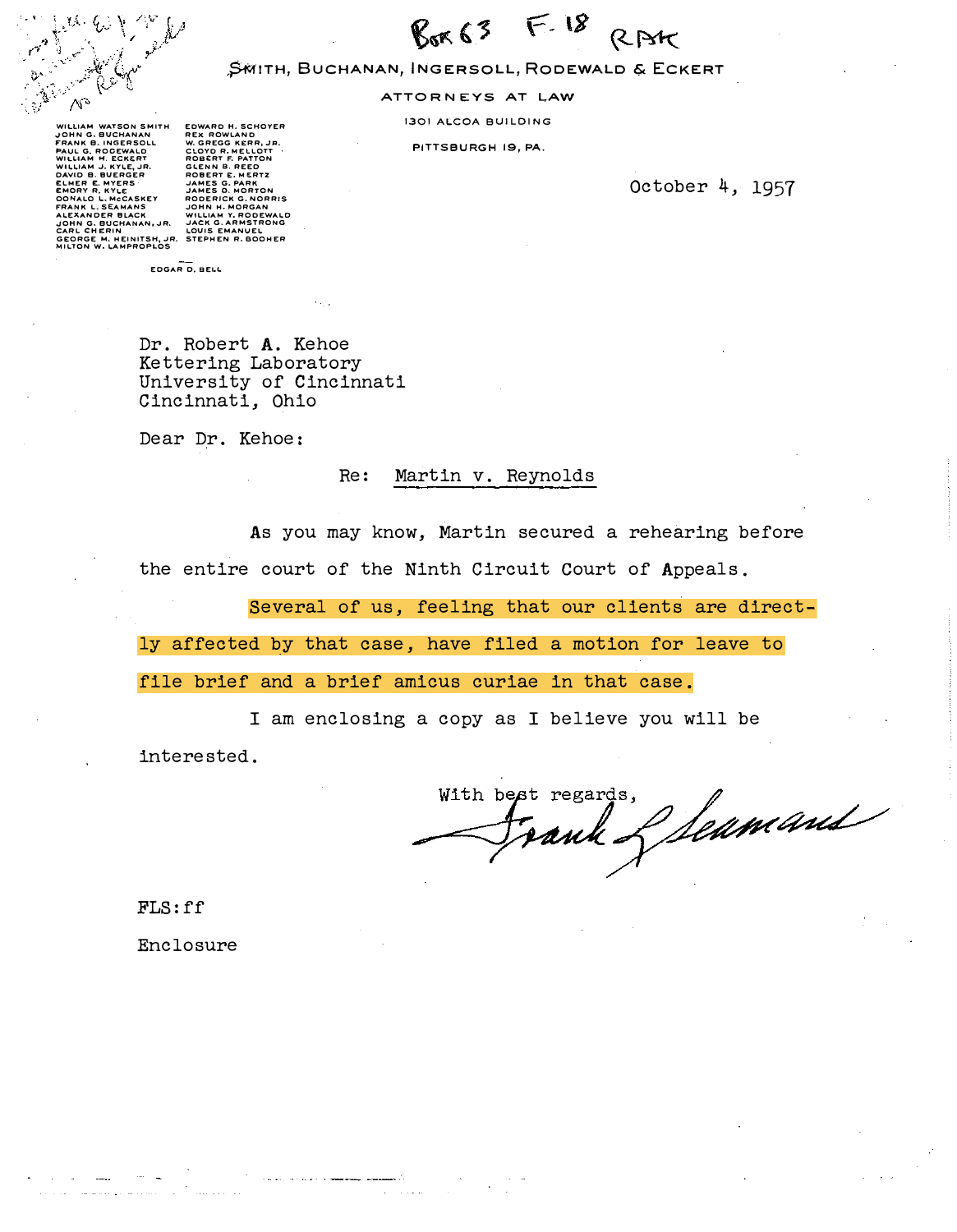

 $F.18$  $R_{nK}$  63 RAt

### ,?MITH, BUCHANAN, INGERSOLL, RODEWALD & ECKERT

ATTORNEYS AT LAW

1301 ALCOA BUILDING

PITTSBURGH 19, PA.

October 4, 1957

WILLIAM WATSON SMITH<br>JOHN G. BLINGERSOLL<br>FAAN B. NGCERSOLL<br>MULLIAM H. ROCEWALD<br>WILLIAM H. ROCEWALD<br>WILLIAM J. RYLE, JR.<br>CAMER E. MYERS<br>ELMER E. MYERS<br>OONALO L. MCCASKEY<br>REEXANDER BLACK<br>JOHN G. BUCHANAN, JR.<br>CARL CHERIN GEORGE M. HEINITSH, JR. STEPHEN R. BOOHER<br>MILTON W. LAMPROPLOS

EDWARD H. SCHOYER<br>REX ROWLAND<br>CLOYD R. MELLOTT<br>CLOYD R. MELLOTT<br>GLENN B. REED<br>GLENN B. REED<br>JAMES G. PART<br>JAMES G. PART<br>JAMES G. PART<br>JODERICK G. NORRIS<br>CODERICK G. NORRIS<br>WILLIAM Y. RODEWALD<br>WILLIAM Y. RODEWALD<br>JACK G. AR

EDGAR D. BEI.L

Dr. Robert A. Kehoe Kettering Laboratory University of Cincinnati Cincinnati, Ohio

Dear Dr. Kehoe:

#### Re: Martin v. Reynolds

As you may know, Martin secured a rehearing before the entire court of the Ninth Circuit court of Appeals.

Several of us, feeling that our clients are direct-

ly affected by that case, have filed a motion for leave to

file brief and a brief amicus curiae in that case.

I am enclosing a copy as I believe you will be

interested.

regards, Seamans With best regards.

FLS:ff

Enclosure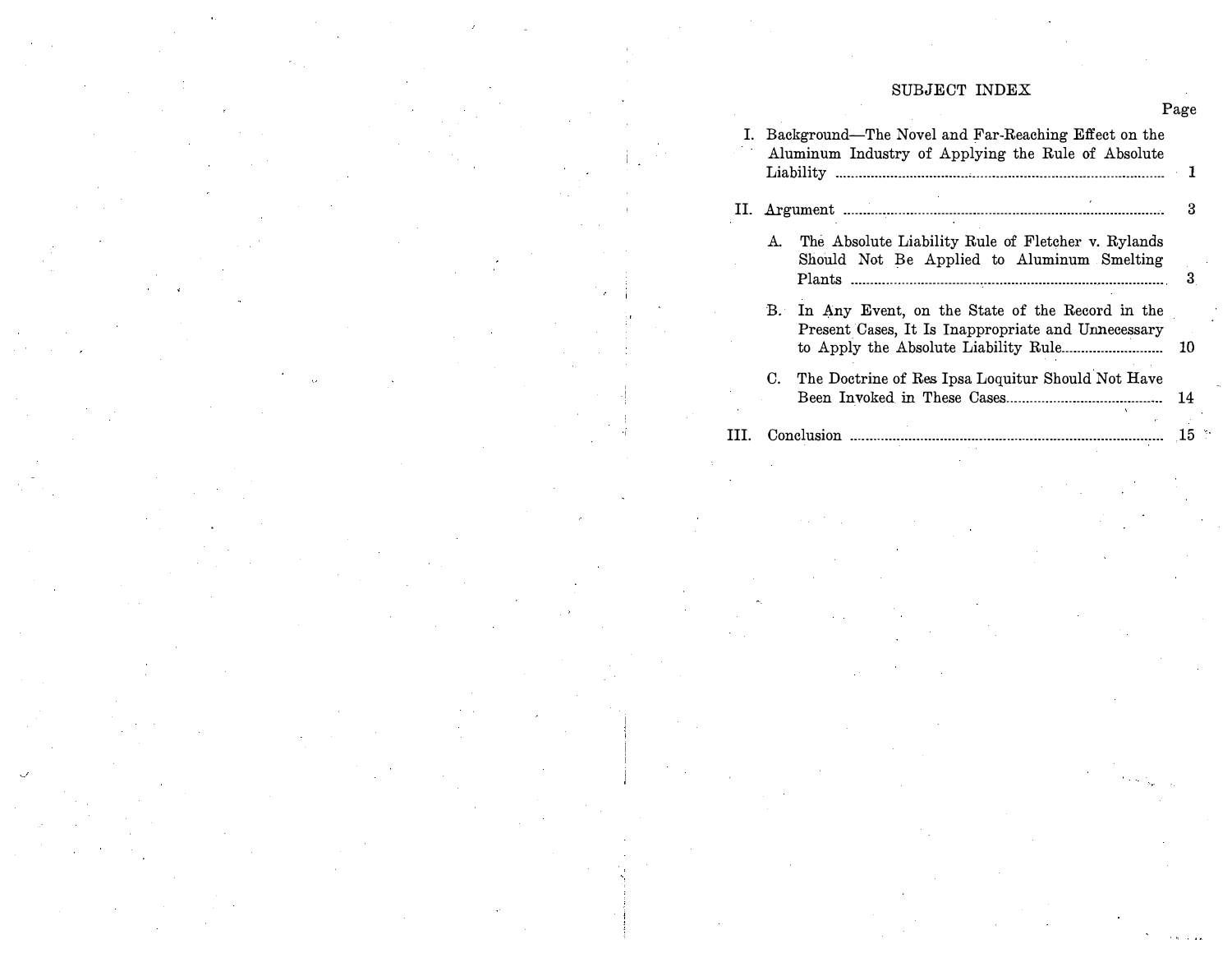# SUBJECT INDEX

Page

| I. Background—The Novel and Far-Reaching Effect on the<br>Aluminum Industry of Applying the Rule of Absolute |                                                                                                       |      |  |  |  |
|--------------------------------------------------------------------------------------------------------------|-------------------------------------------------------------------------------------------------------|------|--|--|--|
|                                                                                                              |                                                                                                       |      |  |  |  |
| А.                                                                                                           | The Absolute Liability Rule of Fletcher v. Rylands<br>Should Not Be Applied to Aluminum Smelting      | 3    |  |  |  |
| В.                                                                                                           | In Any Event, on the State of the Record in the<br>Present Cases, It Is Inappropriate and Unnecessary | 10   |  |  |  |
| C.                                                                                                           | The Doctrine of Res Ipsa Loquitur Should Not Have                                                     | 14   |  |  |  |
|                                                                                                              |                                                                                                       | . 15 |  |  |  |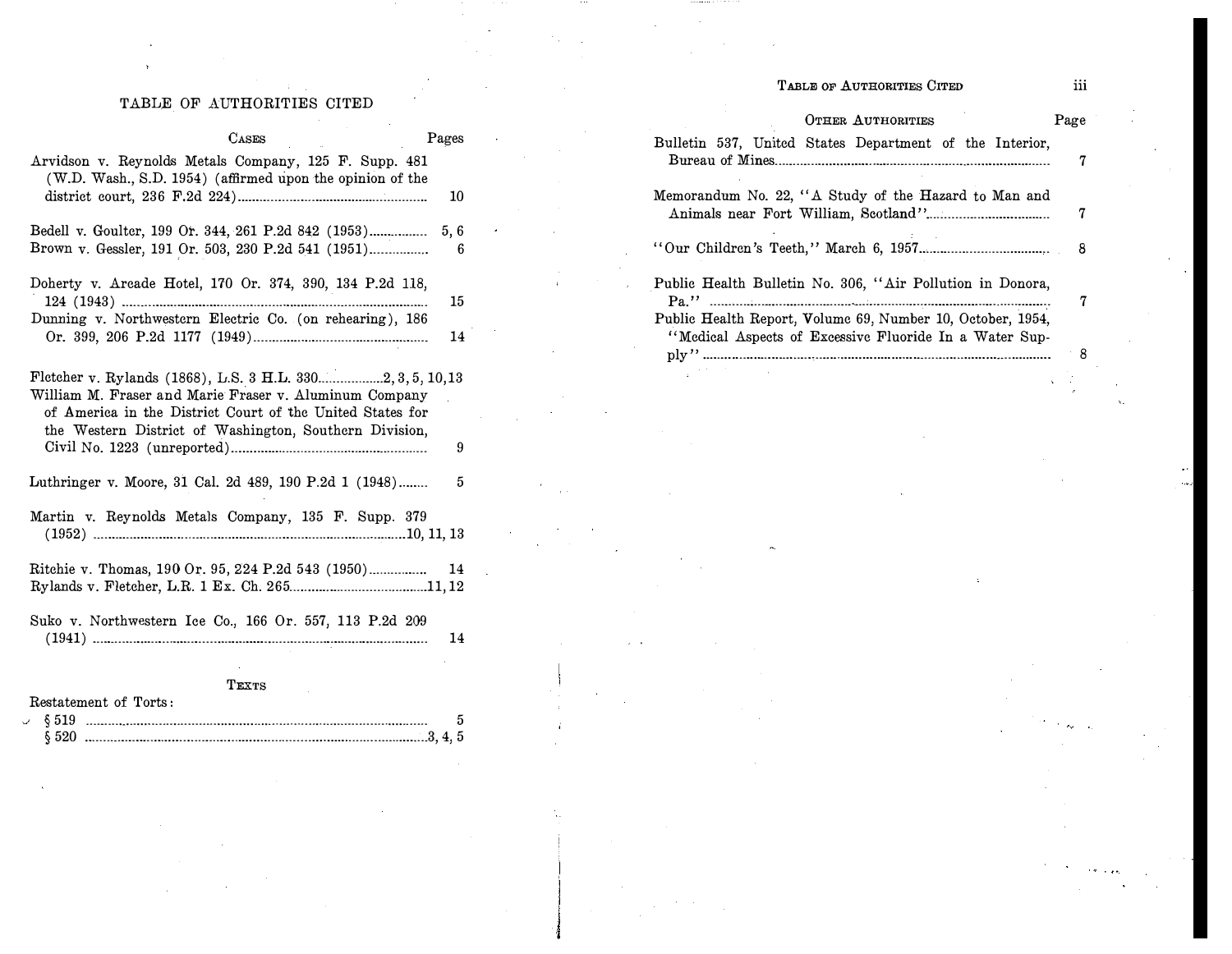# TABLE OF AUTHORITIES CITED

# iii

# TABLE OF AUTHORITIES CITED

|                                                                                                                                                                                   |                                                                 |  | <b>OTHER AUTHORITIES</b>                                                                                             |   | Page |
|-----------------------------------------------------------------------------------------------------------------------------------------------------------------------------------|-----------------------------------------------------------------|--|----------------------------------------------------------------------------------------------------------------------|---|------|
| <b>CASES</b>                                                                                                                                                                      | Pages                                                           |  | Bulletin 537, United States Department of the Interior,                                                              |   |      |
| Arvidson v. Reynolds Metals Company, 125 F. Supp. 481                                                                                                                             |                                                                 |  |                                                                                                                      |   | 7    |
| (W.D. Wash., S.D. 1954) (affirmed upon the opinion of the                                                                                                                         | 10                                                              |  |                                                                                                                      |   |      |
|                                                                                                                                                                                   |                                                                 |  | Memorandum No. 22, "A Study of the Hazard to Man and                                                                 |   |      |
| Bedell v. Goulter, 199 Or. 344, 261 P.2d 842 (1953)<br>Brown v. Gessler, 191 Or. 503, 230 P.2d 541 (1951)                                                                         |                                                                 |  |                                                                                                                      |   | 7    |
|                                                                                                                                                                                   |                                                                 |  |                                                                                                                      |   |      |
| Doherty v. Areade Hotel, 170 Or. 374, 390, 134 P.2d 118,                                                                                                                          | Public Health Bulletin No. 306, "Air Pollution in Donora,<br>15 |  |                                                                                                                      | 7 |      |
| Dunning v. Northwestern Electric Co. (on rehearing), 186                                                                                                                          | 14                                                              |  | Public Health Report, Volume 69, Number 10, October, 1954,<br>"Medical Aspects of Excessive Fluoride In a Water Sup- |   |      |
|                                                                                                                                                                                   |                                                                 |  |                                                                                                                      |   | 8    |
| Fletcher v. Rylands (1868), L.S. 3 H.L. 3302, 3, 5, 10, 13<br>William M. Fraser and Marie Fraser v. Aluminum Company<br>of America in the District Court of the United States for |                                                                 |  |                                                                                                                      |   |      |
| the Western District of Washington, Southern Division,                                                                                                                            |                                                                 |  |                                                                                                                      |   |      |
|                                                                                                                                                                                   | 9                                                               |  |                                                                                                                      |   |      |
| Luthringer v. Moore, 31 Cal. 2d 489, 190 P.2d 1 (1948)                                                                                                                            | 5                                                               |  |                                                                                                                      |   |      |
| Martin v. Reynolds Metals Company, 135 F. Supp. 379                                                                                                                               |                                                                 |  |                                                                                                                      |   |      |
|                                                                                                                                                                                   |                                                                 |  |                                                                                                                      |   |      |
| Ritchie v. Thomas, 190 Or. 95, 224 P.2d 543 (1950) 14                                                                                                                             |                                                                 |  |                                                                                                                      |   |      |
|                                                                                                                                                                                   |                                                                 |  |                                                                                                                      |   |      |
|                                                                                                                                                                                   |                                                                 |  |                                                                                                                      |   |      |
| Suko v. Northwestern Ice Co., 166 Or. 557, 113 P.2d 209                                                                                                                           |                                                                 |  |                                                                                                                      |   |      |
|                                                                                                                                                                                   | 14                                                              |  |                                                                                                                      |   |      |
|                                                                                                                                                                                   |                                                                 |  |                                                                                                                      |   |      |
| TEXTS                                                                                                                                                                             |                                                                 |  |                                                                                                                      |   |      |
| Restatement of Torts:                                                                                                                                                             |                                                                 |  |                                                                                                                      |   |      |
|                                                                                                                                                                                   |                                                                 |  |                                                                                                                      |   |      |
|                                                                                                                                                                                   |                                                                 |  |                                                                                                                      |   |      |
|                                                                                                                                                                                   |                                                                 |  |                                                                                                                      |   |      |
|                                                                                                                                                                                   |                                                                 |  |                                                                                                                      |   |      |
|                                                                                                                                                                                   |                                                                 |  |                                                                                                                      |   |      |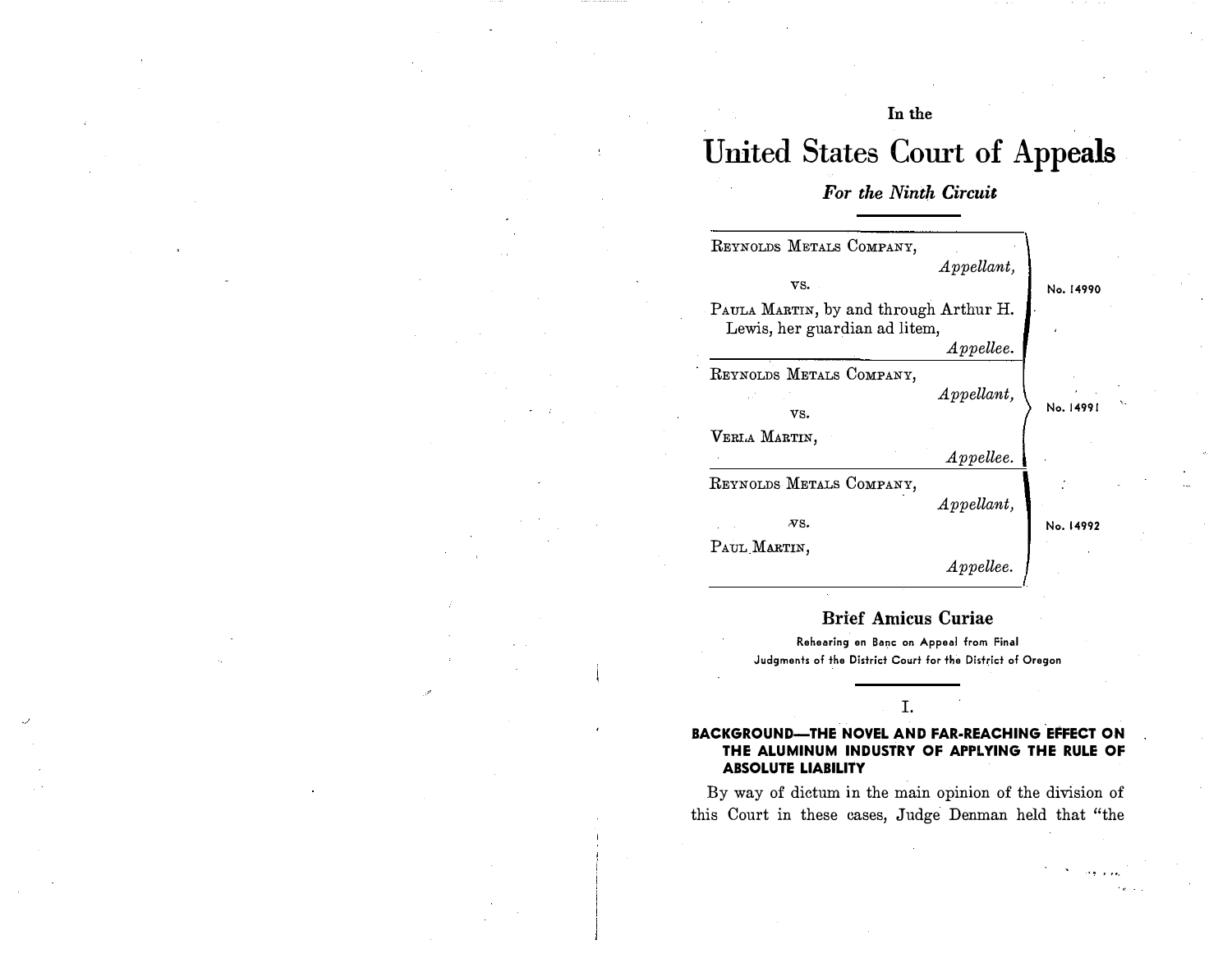# In the

# United States Court of Appeals

# For the Ninth Circuit

| REYNOLDS METALS COMPANY,                                                |               |           |
|-------------------------------------------------------------------------|---------------|-----------|
|                                                                         | $Appendant$ , |           |
| VS.                                                                     |               | No. 14990 |
| PAULA MARTIN, by and through Arthur H.<br>Lewis, her guardian ad litem, |               |           |
|                                                                         | $\it Apple,$  |           |
| REYNOLDS METALS COMPANY,                                                |               |           |
|                                                                         | $Appendant$ , |           |
| vs.                                                                     |               | No. 14991 |
| VERLA MARTIN,                                                           |               |           |
|                                                                         | $\it Apple,$  |           |
| REYNOLDS METALS COMPANY,                                                |               |           |
|                                                                         | $Appendant$ , |           |
| $\overline{N}S.$                                                        |               | No. 14992 |
| PAUL MARTIN,                                                            |               |           |
|                                                                         | $\it Apple$   |           |

# Brief Amicus Curiae

Rehearing en Banc on Appeal from Final Judgments of the District Court for the District of Oregon

# I.

#### BACKGROUND-THE NOVEL AND FAR-REACHING EFFECT ON THE ALUMINUM INDUSTRY OF APPLYING THE RULE OF ABSOLUTE LIABILITY

By way of dictum in the main opinion of the division of this Court in these cases, Judge Denman held that "the

.. ' ...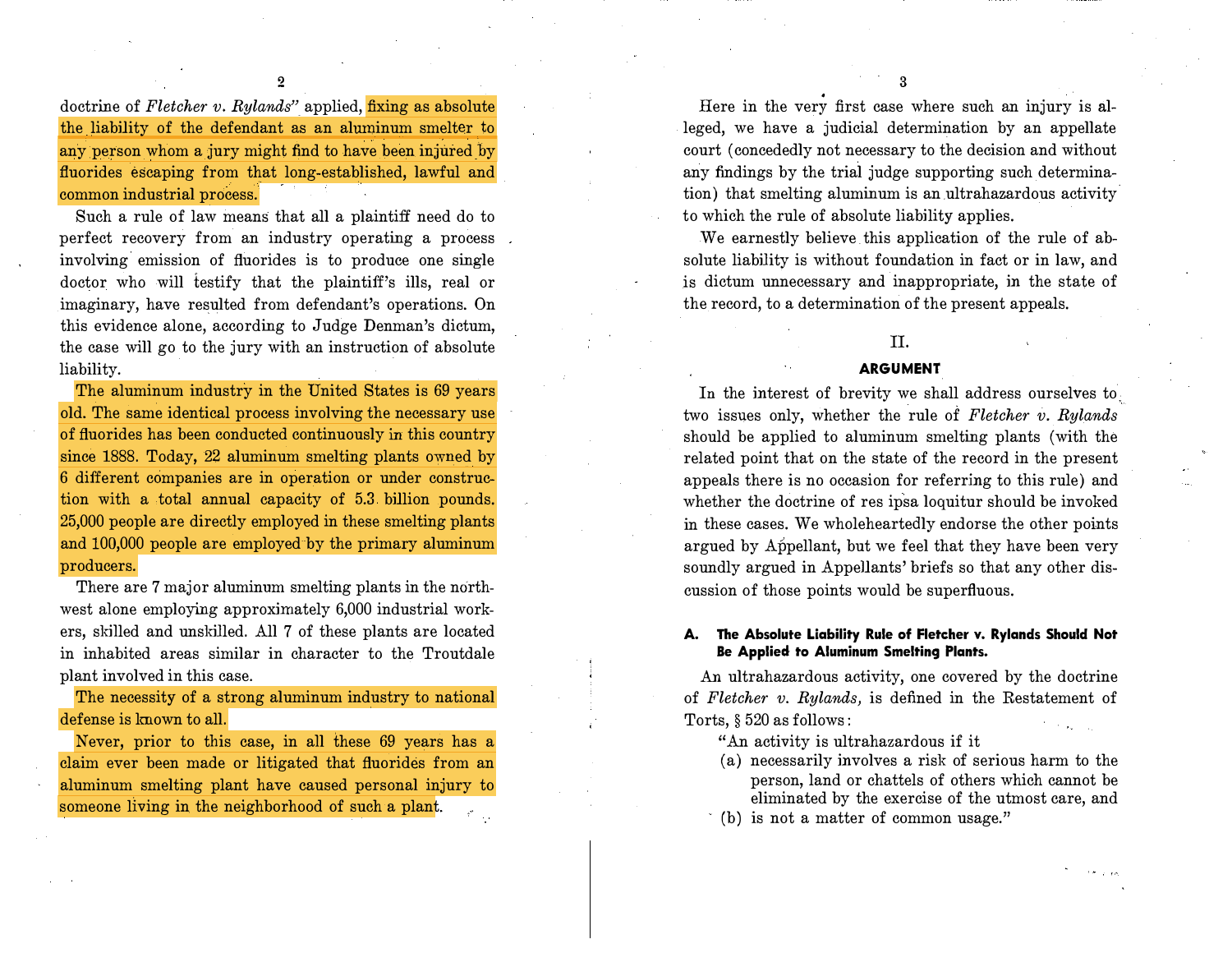doctrine of Fletcher v. Rylands" applied,  $fixing$  as absolute the liability of the defendant as an aluminum smelter to any person whom a jury might find to have been injured by fluorides escaping from that long-established, lawful and common industrial process.

2

Such a rule of law means that all a plaintiff need do to perfect recovery from an industry operating a process involving emission of fluorides is to produce one single doctor who will testify that the plaintiff's ills, real or imaginary, have resulted from defendant's operations. On this evidence alone, according to Judge Denman's dictum, the case will go to the jury with an instruction of absolute liability.

The aluminum industry in the United States is 69 years old. The same identical process involving the necessary use of fluorides has been conducted continuously in this country since 1888. Today, 22 aluminum smelting plants owned by 6 different companies are in operation or under construction with a total annual capacity of 5.3 billion pounds. 25,000 people are directly employed in these smelting plants and 100,000 people are employed by the primary aluminum producers.

There are 7 major aluminum smelting plants in the northwest alone employing approximately 6,000 industrial workers, skilled and unskilled. All 7 of these plants are located in inhabited areas similar in character to the Troutdale plant involved in this case.

The necessity of a strong aluminum industry to national defense is lmown to all.

Never, prior to this case, in all these 69 years has a claim ever been made or litigated that fluorides from an aluminum smelting plant have caused personal injury to someone living in the neighborhood of such a plant.

Here in the very first case where such an injury is alleged, we have a judicial determination by an appellate court (concededly not necessary to the decision and without any findings by the trial judge supporting such determination) that smelting aluminum is an.ultrahazardous activity. to which the rule of absolute liability applies.

We earnestly believe this application of the rule of absolute liability is without foundation in fact or in law, and is dictum unnecessary and inappropriate, in the state of the record, to a determination of the present appeals.

# II.

#### ARGUMENT

In the interest of brevity we shall address ourselves to, two issues only, whether the rule of Fletcher v. Rylands should be applied to aluminum smelting plants (with the related point that on the state of the record in the present appeals there is no occasion for referring to this rule) and whether the doctrine of res ipsa loquitur should be invoked in these cases. We wholeheartedly endorse the other points argued by Appellant, but we feel that they have been very soundly argued in Appellants' briefs so that any other discussion of those points would be superfluous.

#### A. The Absolute Liability Rule of Fletcher v. Rylands Should Not Be Applied to Aluminum Smelting Plants.

An ultrahazardous activity, one covered by the doctrine of Fletcher v. Rylands, is defined in the Restatement of Torts, § 520 as follows:

"An activity is ultrahazardous if it

- (a) necessarily involves a risk of serious harm to the person, land or chattels of others which cannot be eliminated by the exercise of the utmost care, and
- $(b)$  is not a matter of common usage."

3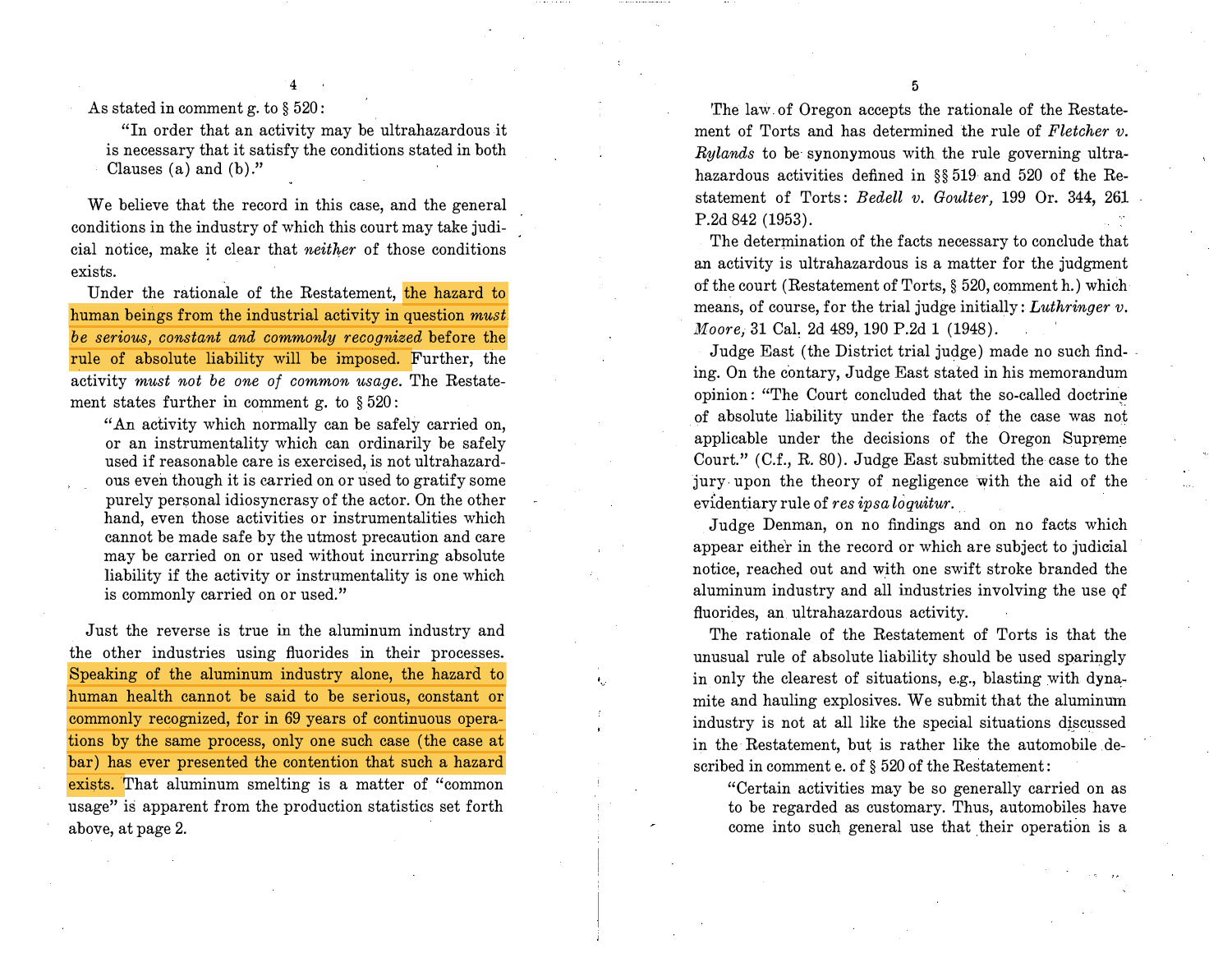As stated in comment g. to § 520:

"In order that an activity may be ultrahazardous it is necessary that it satisfy the conditions stated in both Clauses (a) and (b)."

4

We believe that the record in this case, and the general conditions in the industry of which this court may take judicial notice, make it clear that neither of those conditions exists.

Under the rationale of the Restatement, the hazard to human beings from the industrial activity in question *must*. be serious, constant and commonly recognized before the rule of absolute liability will be imposed. Further, the activity must not be one of common usage. The Restatement states further in comment g. to § 520:

"An activity which normally can be safely carried on, or an instrumentality which can ordinarily be safely used if reasonable care is exercised, is not ultrahazardous even though it is carried on or used to gratify some purely personal idiosyncrasy of the actor. On the other hand, even those activities or instrumentalities which cannot be made safe by the utmost precaution and care may be carried on or used without incurring absolute liability if the activity or instrumentality is one which is commonly carried on or used."

Just the reverse is true in the aluminum industry and the other industries using fluorides in their processes. Speaking of the aluminum industry alone, the hazard to human health cannot be said to be serious, constant or commonly recognized, for in 69 years of continuous operations by the same process, only one such case (the case at bar) has ever presented the contention that such a hazard exists. That aluminum smelting is a matter of "common usage" is apparent from the production statistics set forth above, at page 2.

The law of Oregon accepts the rationale of the Restatement of Torts and has determined the rule of Fletcher  $v$ . Rylands to be synonymous with the rule governing ultrahazardous activities defined in §§ 519 and 520 of the Restatement of Torts: Bedell v. Goulter, 199 Or. 344, 261 P.2d 842 (1953).

The determination of the facts necessary to conclude that an activity is ultrahazardous is a matter for the judgment of the court (Restatement of Torts, § 520, comment h.) which means, of course, for the trial judge initially:  $Luthringer$ . Moore, 31 Cal. 2d 489, 190 P.2d 1 (1948).

Judge East (the District trial judge) made no such find- . ing. On the contary, Judge East stated in his memorandum opinion: "The Court concluded that the so-called doctrine of absolute liability under the facts of the case was not applicable under the decisions of the Oregon Supreme Court." (C.f., R. 80). Judge East submitted the case to the jury upon the theory of negligence with the aid of the  $e$ videntiary rule of res ipsa loquitur.

Judge Denman, on no findings and on no facts which appear either in the record or which are subject to judicial notice, reached out and with one swift stroke branded the aluminum industry and all industries involving the use qf fluorides, an ultrahazardous activity.

The rationale of the Restatement of Torts is that the unusual rule of absolute liability should be used sparingly in only the clearest of situations, e.g., blasting with dynamite and hauling explosives. We submit that the aluminum industry is not at all like the special situations discussed in the Restatement, but is rather like the automobile described in comment e. of § 520 of the Restatement:

"Certain activities may be so generally carried on as to be regarded as customary. Thus, automobiles have come into such general use that their operation is a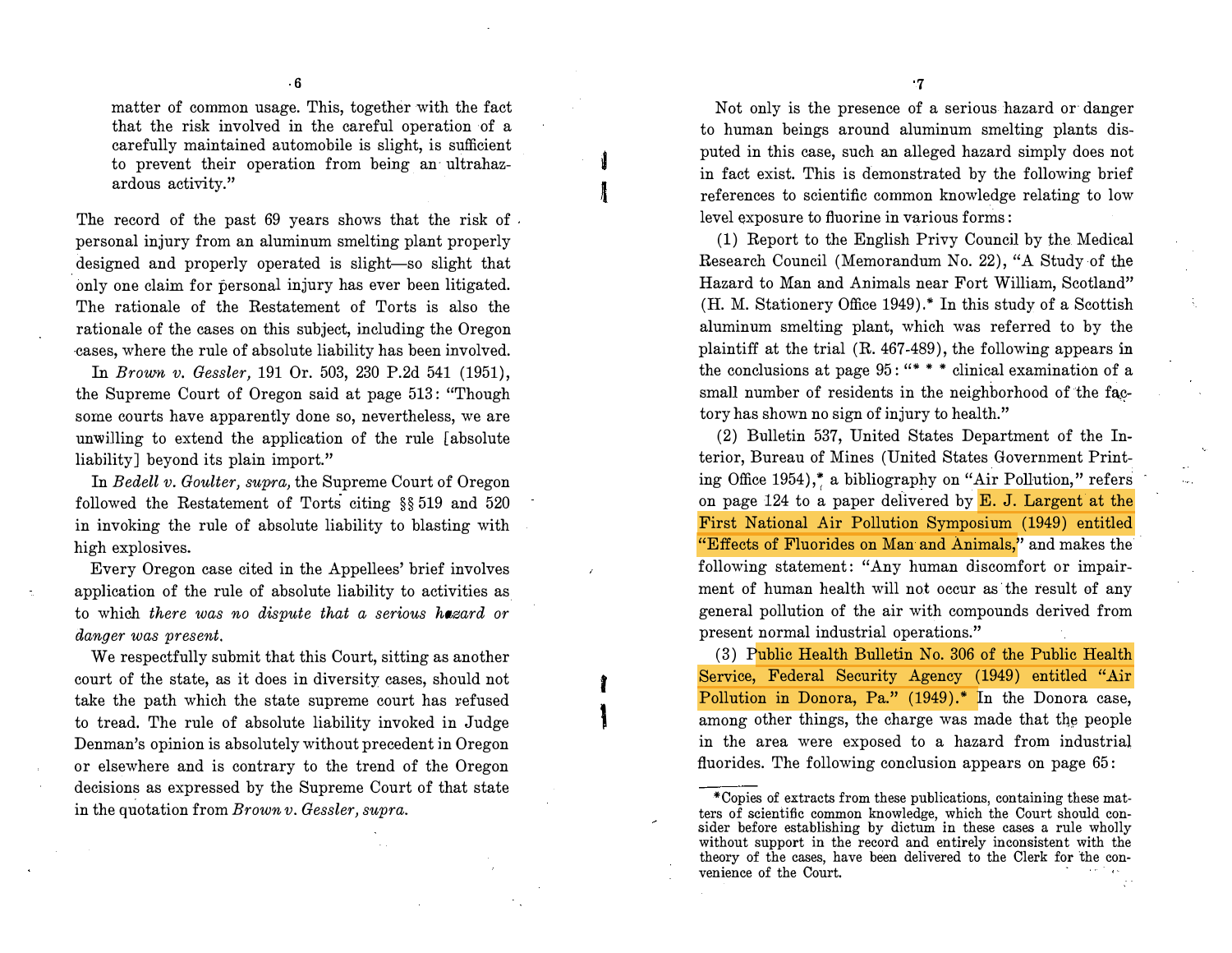matter of common usage. This, together with the fact that the risk involved in the careful operation of a carefully maintained automobile is slight, is sufficient to prevent their operation from being an· ultrahazardous activity."

The record of the past 69 years shows that the risk of . personal injury from an aluminum smelting plant properly designed and properly operated is slight-so slight that only one claim for personal injury has ever been litigated. The rationale of the Restatement of Torts is also the rationale of the cases on this subject, including the Oregon cases, where the rule of absolute liability has been involved.

In Brown v. Gessler, 191 Or. 503, 230 P.2d 541 (1951), the Supreme Court of Oregon said at page 513 : "Though some courts have apparently done so, nevertheless, we are unwilling to extend the application of the rule [absolute liability] beyond its plain import."

In Bedell v. Goulter, supra, the Supreme Court of Oregon followed the Restatement of Torts citing §§ 519 and 520 in invoking the rule of absolute liability to blasting with high explosives.

Every Oregon case cited in the Appellees' brief involves application of the rule of absolute liability to activities as to which there was no dispute that a serious hazard or danger was present.

We respectfully submit that this Court, sitting as another court of the state, as it does in diversity cases, should not take the path which the state supreme court has refused to tread. The rule of absolute liability invoked in Judge Denman's opinion is absolutely without precedent in Oregon or elsewhere and is contrary to the trend of the Oregon decisions as expressed by the Supreme Court of that state in the quotation from Brown v. Gessler, supra.

t

 $\mathbf i$ 

7

Not only is the presence of a serious hazard or· danger to human beings around aluminum smelting plants disputed in this case, such an alleged hazard simply does not in fact exist. This is demonstrated by the following brief references to scientific common knowledge relating to low level exposure to fluorine in various forms:

(1) Report to the English Privy Council by the Medical Research Council (Memorandum No. 22), "A Study of the Hazard to Man and Animals near Fort William, Scotland" (H. M. Stationery Office 1949) .\* In this study of a Scottish aluminum smelting plant, which was referred to by the plaintiff at the trial (R. 467-489), the following appears in the conclusions at page 95: "\*\*\* clinical examination of a small number of residents in the neighborhood of the factory has shown no sign of injury to health."

(2) Bulletin 537, United States Department of the Interior, Bureau of Mines (United States Government Printing Office 1954),� a bibliography on "Air Pollution," refers on page 124 to a paper delivered by E. J. Largent at the First National Air Pollution Symposium (1949) entitled "Effects of Fluorides on Man and Animals," and makes the following statement: "Any human discomfort or impairment of human health will not occur as the result of any general pollution of the air with compounds derived from present normal industrial operations."

( 3) Public Health Bulletin No. 306 of the Public Health Service, Federal Security Agency (1949) entitled "Air Pollution in Donora, Pa." (1949).\* In the Donora case, among other things, the charge was made that the people in the area were exposed to a hazard from industrial fluorides. The following conclusion appears on page 65:

<sup>\*</sup>Copies of extracts from these publications, containing these matters of scientific common knowledge, which the Court should consider before establishing by dictum in these cases a rule wholly without support in the record and entirely inconsistent with the theory of the cases, have been delivered to the Clerk for the convenience of the Court.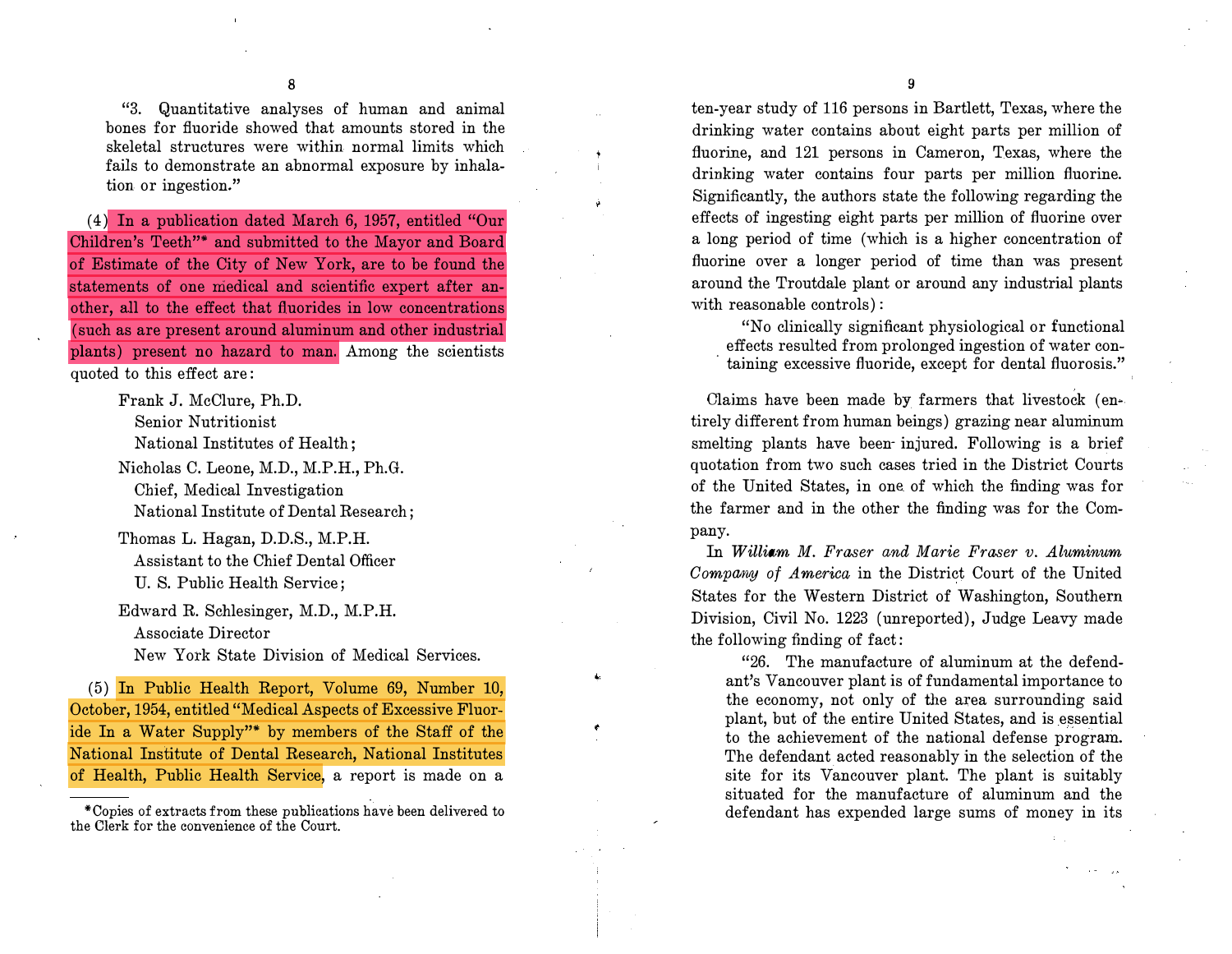"3. Quantitative analyses of human and animal bones for fluoride showed that amounts stored in the skeletal structures were within normal limits which fails to demonstrate an abnormal exposure by inhalation or ingestion."

( 4) In a publication dated March 6, 1957, entitled "Our Children's Teeth"\* and submitted to the Mayor and Board of Estimate of the City of New York, are to be found the statements of one medical and scientific expert after another, all to the effect that fluorides in low concentrations (such as are present around aluminum and other industrial plants) present no hazard to man. Among the scientists quoted to this effect are:

> Frank J. McClure, Ph.D. Senior Nutritionist National Institutes of Health; Nicholas C. Leone, M.D., M.P.H., Ph.G. Chief, Medical Investigation

National Institute of Dental Research; Thomas L. Hagan, D.D.S., M.P.H.

Assistant to the Chief Dental Officer U. S. Public Health Service;

Edward R. Schlesinger, M.D., M.P.H. Associate Director

New York State Division of Medical Services.

(5) In Public Health Report, Volume 69, Number 10, October, 1954, entitled "Medical Aspects of Excessive Fluoride In a Water Supply"\* by members of the Staff of the National Institute of Dental Research, National Institutes of Health, Public Health Service, a report is made on a

\*Copies of extracts from these publications have been delivered to the Clerk for the convenience of the Court.

9

ten-year study of 116 persons in Bartlett, Texas, where the drinking water contains about eight parts per million of fluorine, and 121 persons in Cameron, Texas, where the drinking water contains four parts per million fluorine. Significantly, the authors state the following regarding the effects of ingesting eight parts per million of fluorine over a long period of time (which is a higher concentration of fluorine over a longer period of time than was present around the Troutdale plant or around any industrial plants with reasonable controls):

"No clinically significant physiological or functional effects resulted from prolonged ingestion of water con taining excessive fluoride, except for dental fluorosis."

Claims have been made by farmers that livestock (entirely different from human beings) grazing near aluminum smelting plants have been- injured. Following is a brief quotation from two such cases tried in the District Courts of the United States, in one of which the finding was for the farmer and in the other the finding was for the Company.

In William M. Fraser and Marie Fraser v. Aluminum Company of America in the District Court of the United States for the Western District of Washington, Southern Division, Civil No. 1223 (unreported), Judge Leavy made the following finding of fact:

"26. The manufacture of aluminum at the defendant's Vancouver plant is of fundamental importance to the economy, not only of the area surrounding said plant, but of the entire United States, and is essential to the achievement of the national defense program. The defendant acted reasonably in the selection of the site for its Vancouver plant. The plant is suitably situated for the manufacture of aluminum and the defendant has expended large sums of money in its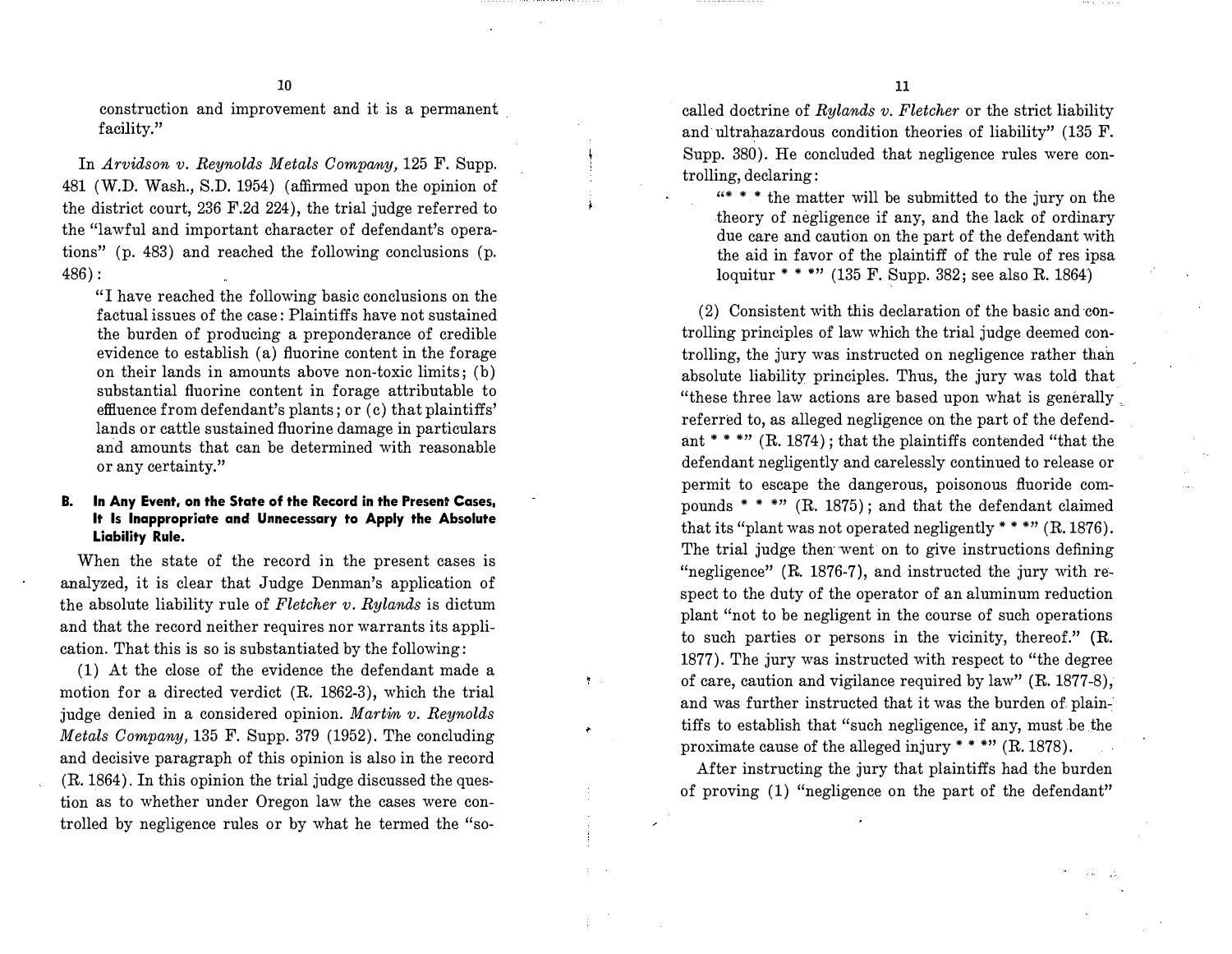construction and improvement and it is a permanent facility."

In Arvidson v. Reynolds Metals Company, 125 F. Supp. 481 (W.D. Wash., S.D. 1954) (affirmed upon the opinion of the district court, 236 F.2d 224), the trial judge referred to the "lawful and important character of defendant's operations" (p. 483) and reached the following conclusions (p. 486):

"I have reached the following basic conclusions on the factual issues of the case: Plaintiffs have not sustained the burden of producing a preponderance of credible evidence to establish (a) fluorine content in the forage on their lands in amounts above non-toxic limits; (b) substantial fluorine content in forage attributable to effluence from defendant's plants; or (c) that plaintiffs' lands or cattle sustained fluorine damage in particulars and amounts that can be determined with reasonable or any certainty."

#### B. In Any Event, on the State of the Record in the Present Cases, It Is Inappropriate and Unnecessary to Apply the Absolute Liability Rule.

When the state of the record in the present cases is analyzed, it is clear that Judge Denman's application of the absolute liability rule of Fletcher  $v$ . Rylands is dictum and that the record neither requires nor warrants its application. That this is so is substantiated by the following:

(1) At the close of the evidence the defendant made a motion for a directed verdict (R. 1862-3), which the trial judge denied in a considered opinion. Martin v. Reynolds Metals Company, 135 F. Supp. 379 (1952). The concluding and decisive paragraph of this opinion is also in the record (R. 1864). In this opinion the trial judge discussed the question as to whether under Oregon law the cases were controlled by negligence rules or by what he termed the "socalled doctrine of  $Rylands$  v. Fletcher or the strict liability and ultrahazardous condition theories of liability" (135 F. Supp. 380). He concluded that negligence rules were controlling, declaring:

"\* • • the matter will be submitted to the jury on the .theory of negligence if any, and the lack of ordinary due care and caution on the part of the defendant with the aid in favor of the plaintiff of the rule of res ipsa loquitur \* \* \*"  $(135 \text{ F.} \text{ Supp.} 382; \text{see also R.} 1864)$ 

(2) Consistent with this declaration of the basic and controlling principles of law which the trial judge deemed controlling, the jury was instructed on negligence rather than absolute liability principles. Thus, the jury was told that "these three law actions are based upon what is generally. referred to, as alleged negligence on the part of the defendant \*\*\*"  $(R. 1874)$ ; that the plaintiffs contended "that the defendant negligently and carelessly continued to release or permit to escape the dangerous, poisonous fluoride compounds \* \* \*"  $(R. 1875)$ ; and that the defendant claimed that its "plant was not operated negligently  $***$ " (R. 1876). The trial judge then went on to give instructions defining "negligence" (R. 1876-7), and instructed the jury with respect to the duty of the operator of an aluminum reduction plant "not to be negligent in the course of such operations to such parties or persons in the vicinity, thereof." (R. 1877). The jury was instructed with respect to "the degree of care, caution and vigilance required by law" (R. 1877-8), and was further instructed that it was the burden of plaintiffs to establish that "such negligence, if any, must be the proximate cause of the alleged injury \*\*\*\*" (R. 1878).

After instructing the jury that plaintiffs had the burden of proving (1) "negligence on the part of the defendant"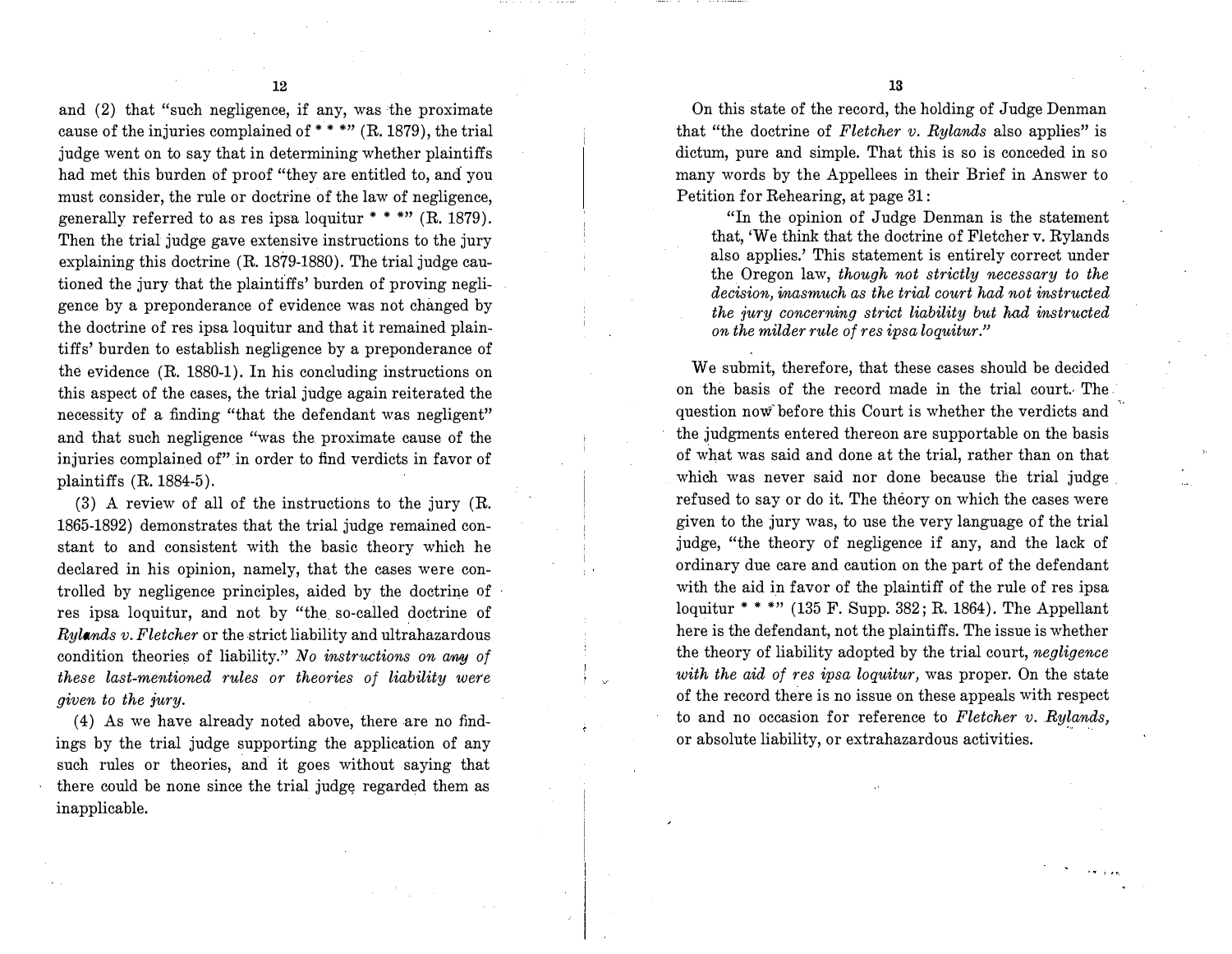and (2) that "such negligence, if any, was the proximate cause of the injuries complained of \*\*\*\*"  $(R. 1879)$ , the trial judge went on to say that in determining whether plaintiffs had met this burden of proof "they are entitled to, and you must consider, the rule or doctrine of the law of negligence, generally referred to as res ipsa loquitur  $***$  (R. 1879). Then the trial judge gave extensive instructions to the jury explaining this doctrine (R. 1879-1880). The trial judge cautioned the jury that the plaintiffs' burden of proving negligence by a preponderance of evidence was not changed by the doctrine of res ipsa loquitur and that it remained plaintiffs' burden to establish negligence by a preponderance of the evidence (R. 1880-1). In his concluding instructions on this aspect of the cases, the trial judge again reiterated the necessity of a finding "that the defendant was negligent" and that such negligence "was the proximate cause of the injuries complained of" in order to find verdicts in favor of plaintiffs (R. 1884-5).

(3) A review of all of the instructions to the jury (R. 1865-1892) demonstrates that the trial judge remained constant to and consistent with the basic theory which he declared in his opinion, namely, that the cases were controlled by negligence principles, aided by the doctrine of res ipsa loquitur, and not by "the so-called doctrine of  $Ryl$ *ands v. Fletcher* or the strict liability and ultrahazardous condition theories of liability." No instructions on any of these last-mentioned rules or theories of liability were given to the jury.

 $(4)$  As we have already noted above, there are no findings by the trial judge supporting the application of any such rules or theories, and it goes without saying that there could be none since the trial judge regarded them as inapplicable.

On this state of the record, the holding of Judge Denman that "the doctrine of Fletcher v. Rylands also applies" is dictum, pure and simple. That this is so is conceded in so many words by the Appellees in their Brief in Answer to Petition for Rehearing, at page 31:

"In the opinion of Judge Denman is the statement that, 'We think that the doctrine of Fletcher v. Rylands also applies.' This statement is entirely correct under the Oregon law, though not strictly necessary to the decision, inasmuch as the trial court had not instructed the jury concernimg strict liability but had instructed on the milder rule of res ipsa loquitur."

We submit, therefore, that these cases should be decided on the basis of the record made in the trial court. The . question now before this Court is whether the verdicts and the judgments entered thereon are supportable on the basis of what was said and done at the trial, rather than on that which was never said nor done because the trial judge refused to say or do it. The theory on which the cases were given to the jury was, to use the very language of the trial judge, "the theory of negligence if any, and the lack of ordinary due care and caution on the part of the defendant with the aid in favor of the plaintiff of the rule of res ipsa loquitur \* \* \*" (135 F. Supp. 382; R. 1864). The Appellant here is the defendant, not the plaintiffs. The issue is whether the theory of liability adopted by the trial court, negligence with the aid of res ipsa loquitur, was proper. On the state of the record there is no issue on these appeals with respect of the record there is no issue on these appeals with respect to and no occasion for reference to Fletcher v. Rylands, or absolute liability, or extrahazardous activities.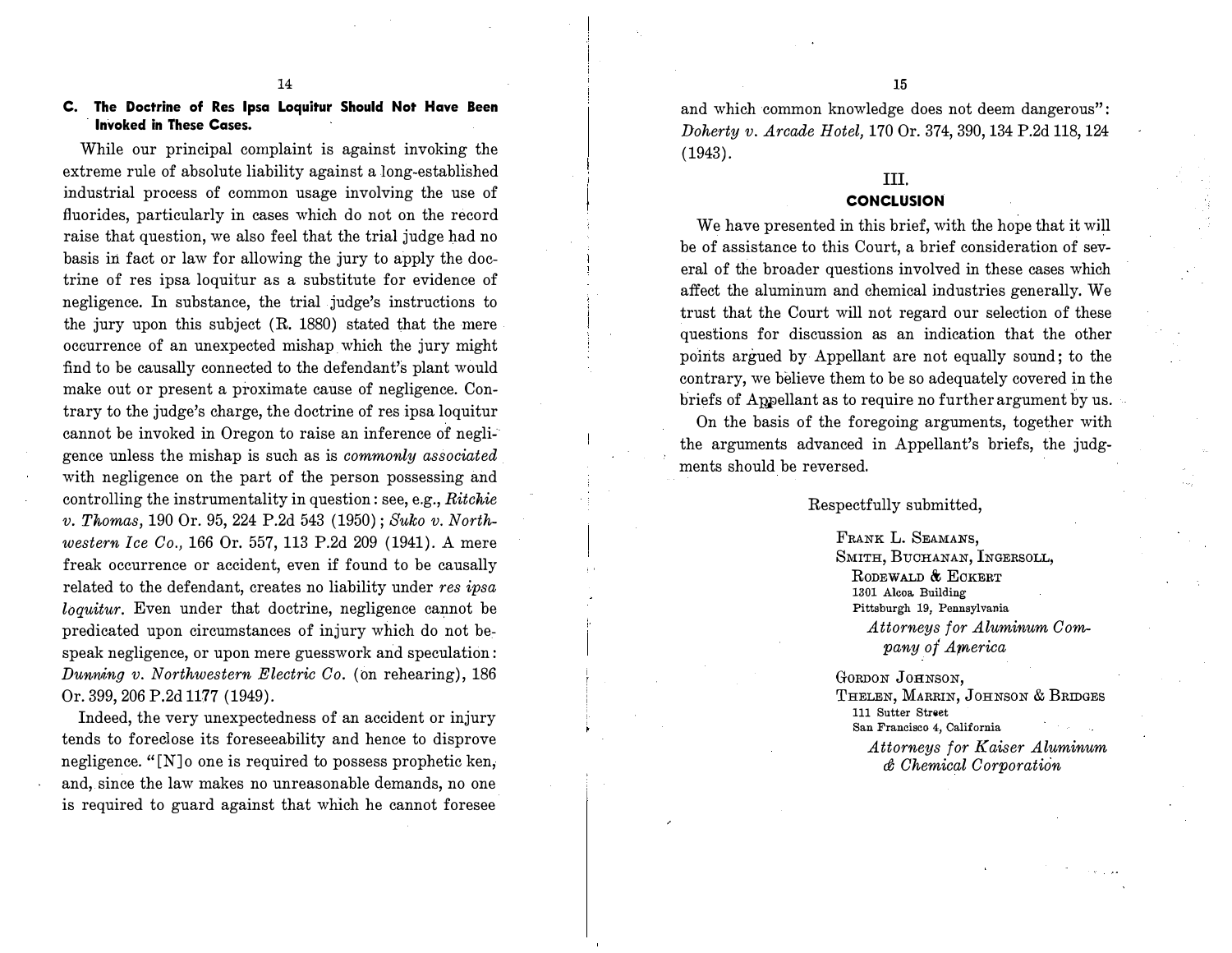### C. The Doctrine of Res Ipsa Loquitur Should Not Have Been Invoked in These Cases.

While our principal complaint is against invoking the extreme rule of absolute liability against a long-established industrial process of common usage involving the use of fluorides, particularly in cases which do not on the record raise that question, we also feel that the trial judge had no basis in fact or law for allowing the jury to apply the doctrine of res ipsa loquitur as a substitute for evidence of negligence. In substance, the trial judge's instructions to the jury upon this subject (R. 1880) stated that the mere oceurrence of an unexpected mishap which the jury might :find to be causally connected to the defendant's plant would make out or present a proximate cause of negligence. Contrary to the judge's charge, the doctrine of res ipsa loquitur cannot be invoked in Oregon to raise an inference of negligence unless the mishap is such as is commonly associated with negligence on the part of the person possessing and controlling the instrumentality in question: see, e.g., Ritchie v. Thomas, 190 Or. 95, 224 P.2d 543 (1950); Suko v. Northwestern Ice Co., 166 Or. 557, 113 P.2d 209 (1941). A mere freak occurrence or accident, even if found to be causally related to the defendant, creates no liability under res ipsa loquitur. Even under that doctrine, negligence cannot be predicated upon circumstances of injury which do not be, speak negligence, or upon mere guesswork and speculation: Dunning v. Northwestern Electric Co. (on rehearing),  $186$ Or. 399, 206 P.2d 1177 (1949).

Indeed, the very unexpectedness of an accident or injury tends to foreclose its foreseeability and hence to disprove negligence. "[N] o one is required to possess prophetic ken, and, since the law makes no unreasonable demands, no one is required to guard against that which he cannot foresee

and which common knowledge does not deem dangerous": Doherty v. Arcade Hotel, 170 Or. 374, 390, 134 P.2d 118, 124 (1943).

# III.

# **CONCLUSION**

We have presented in this brief, with the hope that it will be of assistance to this Court, a brief consideration of several of the broader questions involved in these cases which affect the aluminum and chemical industries generally. We trust that the Court will not regard our selection of these questions for discussion as an indication that the other points argued by Appellant are not equally sound; to the contrary, we believe them to be so adequately covered in the briefs of Appellant as to require no further argument by us.

On the basis of the foregoing arguments, together with the arguments advanced in Appellant's briefs, the judgments should be reversed.

Respectfully submitted,

FRANK L. SEAMANS, SMITH, BUCHANAN, INGERSOLL, RODEWALD & ECKERT 1301 Alcoa. Building Pittsburgh 19, Pennsylvania

> Attorneys for Aluminum Company of America

GORDON JOHNSON,

THELEN, MARRIN, JOHNSON & BRIDGES Ill Sutter Street San Francisco 4, California

> Attorneys for Kaiser Aluminum  $d$  Chemical Corporation